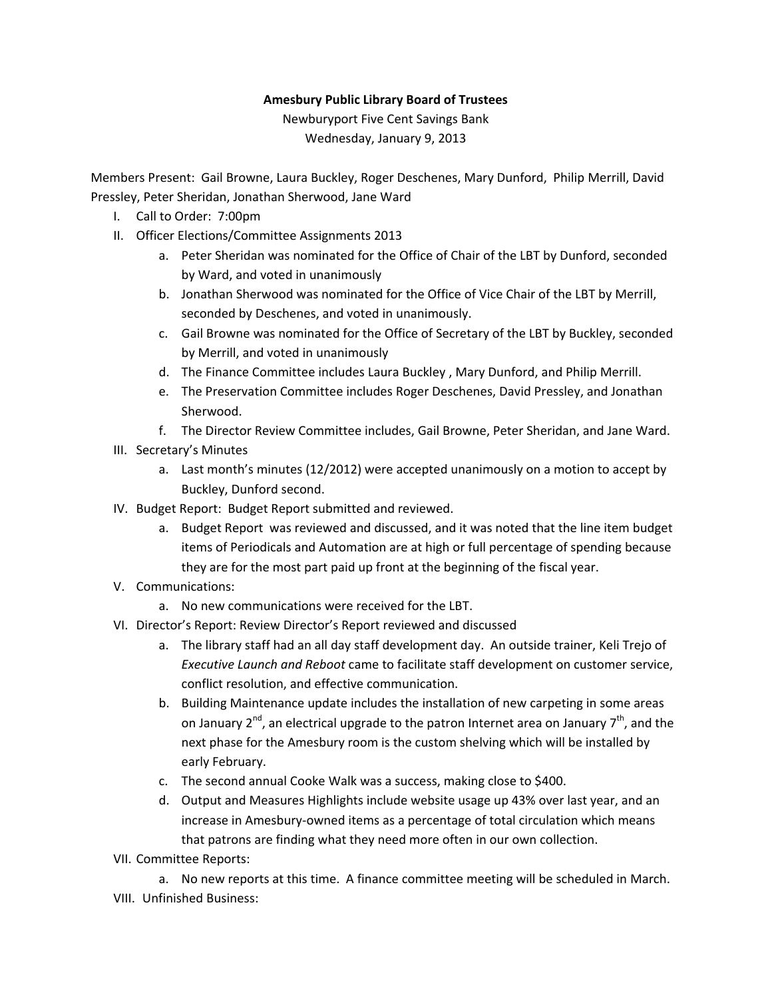## **Amesbury Public Library Board of Trustees**

Newburyport Five Cent Savings Bank Wednesday, January 9, 2013

Members Present: Gail Browne, Laura Buckley, Roger Deschenes, Mary Dunford, Philip Merrill, David Pressley, Peter Sheridan, Jonathan Sherwood, Jane Ward

- I. Call to Order: 7:00pm
- II. Officer Elections/Committee Assignments 2013
	- a. Peter Sheridan was nominated for the Office of Chair of the LBT by Dunford, seconded by Ward, and voted in unanimously
	- b. Jonathan Sherwood was nominated for the Office of Vice Chair of the LBT by Merrill, seconded by Deschenes, and voted in unanimously.
	- c. Gail Browne was nominated for the Office of Secretary of the LBT by Buckley, seconded by Merrill, and voted in unanimously
	- d. The Finance Committee includes Laura Buckley , Mary Dunford, and Philip Merrill.
	- e. The Preservation Committee includes Roger Deschenes, David Pressley, and Jonathan Sherwood.
	- f. The Director Review Committee includes, Gail Browne, Peter Sheridan, and Jane Ward.
- III. Secretary's Minutes
	- a. Last month's minutes (12/2012) were accepted unanimously on a motion to accept by Buckley, Dunford second.
- IV. Budget Report: Budget Report submitted and reviewed.
	- a. Budget Report was reviewed and discussed, and it was noted that the line item budget items of Periodicals and Automation are at high or full percentage of spending because they are for the most part paid up front at the beginning of the fiscal year.
- V. Communications:
	- a. No new communications were received for the LBT.
- VI. Director's Report: Review Director's Report reviewed and discussed
	- a. The library staff had an all day staff development day. An outside trainer, Keli Trejo of *Executive Launch and Reboot* came to facilitate staff development on customer service, conflict resolution, and effective communication.
	- b. Building Maintenance update includes the installation of new carpeting in some areas on January  $2^{nd}$ , an electrical upgrade to the patron Internet area on January  $7^{th}$ , and the next phase for the Amesbury room is the custom shelving which will be installed by early February.
	- c. The second annual Cooke Walk was a success, making close to \$400.
	- d. Output and Measures Highlights include website usage up 43% over last year, and an increase in Amesbury‐owned items as a percentage of total circulation which means that patrons are finding what they need more often in our own collection.
- VII. Committee Reports:

a. No new reports at this time. A finance committee meeting will be scheduled in March. VIII. Unfinished Business: